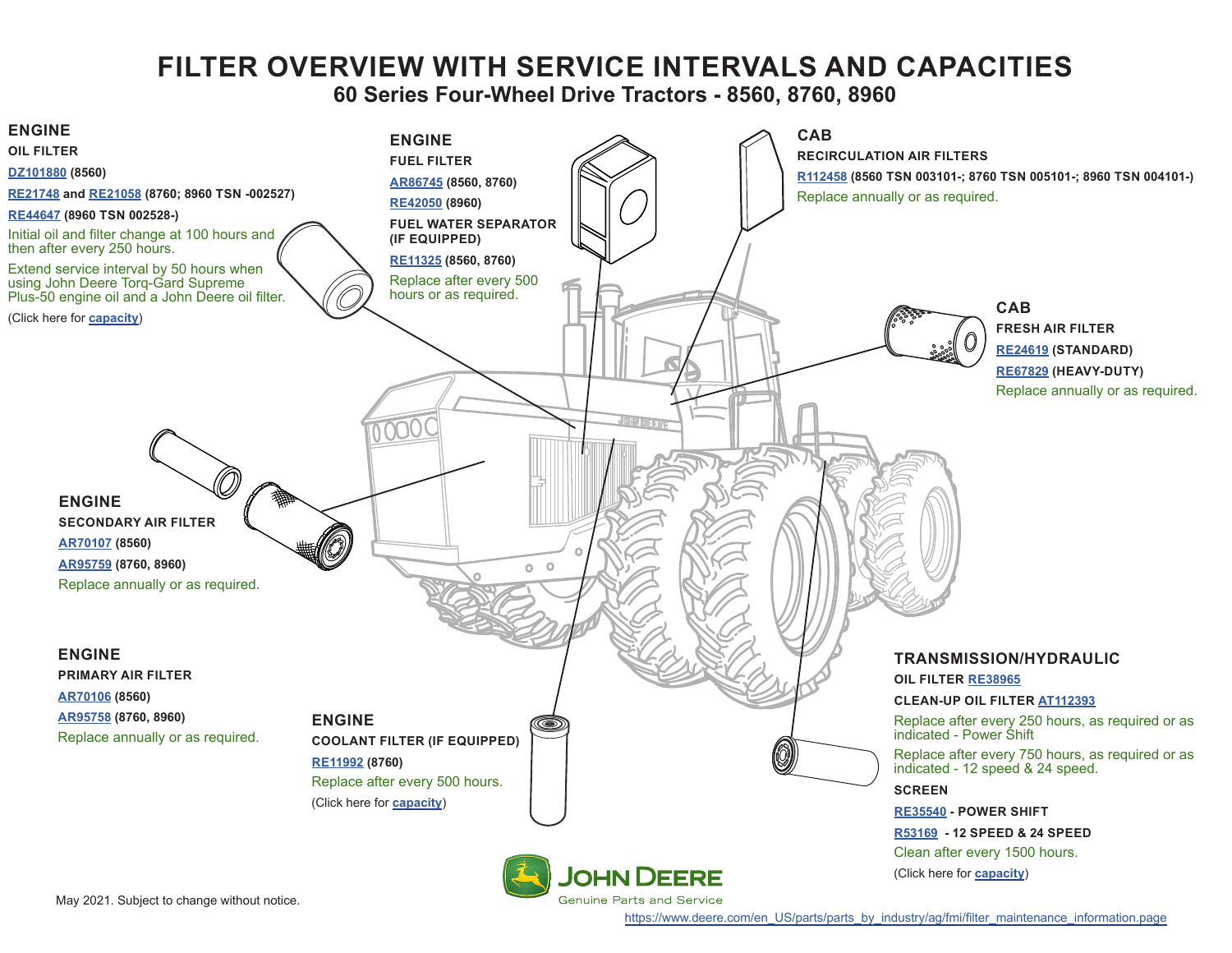# **FILTER OVERVIEW WITH SERVICE INTERVALS AND CAPACITIES**

**60 Series Four-Wheel Drive Tractors - 8560, 8760, 8960**

<span id="page-0-0"></span>

[https://www.deere.com/en\\_US/parts/parts\\_by\\_industry/ag/fmi/filter\\_maintenance\\_information.page](https://www.deere.com/en_US/parts/parts_by_industry/ag/fmi/filter_maintenance_information.page)